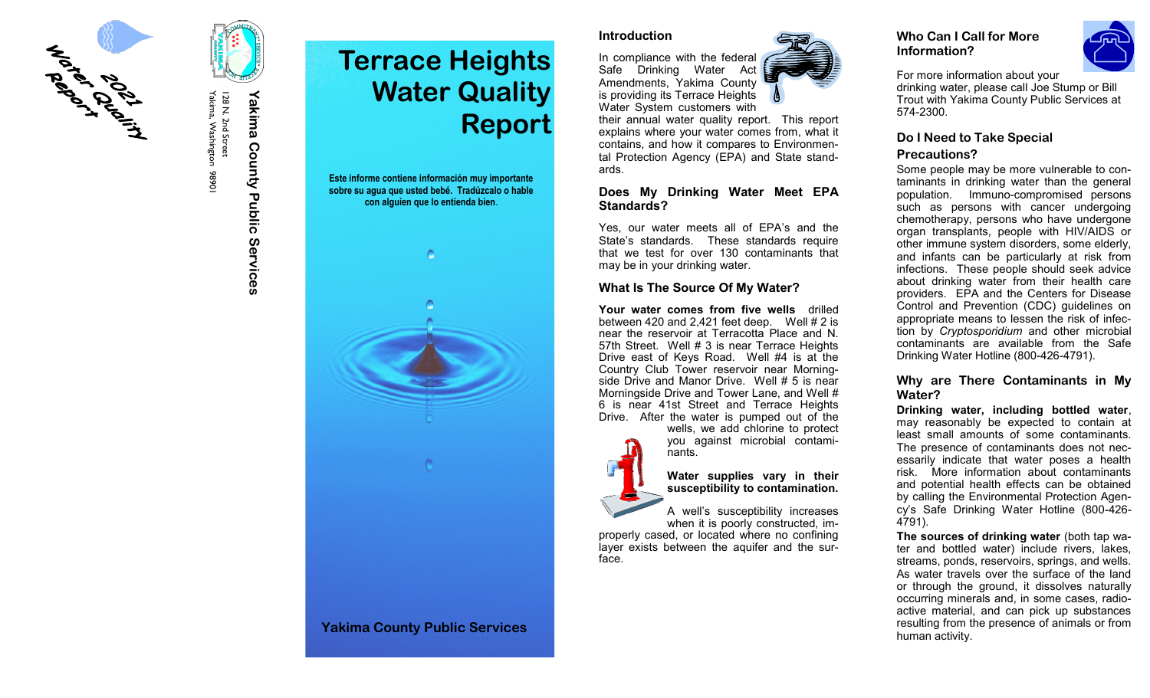

I 28 N. 2nd Street<br>Yakima, Washington 98901 Yakima, Washington 98901 128 N. 2nd Street

# **Yakima County Public Services** Yakima County Public Services

# **Terrace Heights Water Quality Report Este informe contiene información muy importante sobre su agua que usted bebé. Tradúzcalo o hable con alguien que lo entienda bien**.



#### **Introduction**

In compliance with the federal Safe Drinking Water Act Amendments, Yakima County is providing its Terrace Heights Water System customers with

their annual water quality report. This report explains where your water comes from, what it contains, and how it compares to Environmental Protection Agency (EPA) and State standards.

## **Does My Drinking Water Meet EPA Standards?**

Yes, our water meets all of EPA 's and the State 's standards. These standards require that we test for over 130 contaminants that may be in your drinking water.

# **What Is The Source Of My Water?**

nants.

**Your water comes from five wells** drilled between 420 and 2,421 feet deep. Well  $# 2$  is near the reservoir at Terracotta Place and N. 57th Street. Well # 3 is near Terrace Heights Drive east of Keys Road. Well #4 is at the Country Club Tower reservoir near Morningside Drive and Manor Drive. Well # 5 is near Morningside Drive and Tower Lane, and Well # 6 is near 41st Street and Terrace Heights Drive. After the water is pumped out of the wells, we add chlorine to protect



**Water supplies vary in their susceptibility to contamination.** 

you against microbial contami-

A well 's susceptibility increases when it is poorly constructed, im-

properly cased, or located where no confining layer exists between the aquifer and the surface.

# **Who Can I Call for More Information?**



For more information about your drinking water, please call Joe Stump or Bill Trout with Yakima County Public Services at 574 -2300.

# **Do I Need to Take Special**

# **Precautions?**

Some people may be more vulnerable to contaminants in drinking water than the general population. Immuno -compromised persons such as persons with cancer undergoing chemotherapy, persons who have undergone organ transplants, people with HIV/AIDS or other immune system disorders, some elderly, and infants can be particularly at risk from infections. These people should seek advice about drinking water from their health care providers. EPA and the Centers for Disease Control and Prevention (CDC) guidelines on appropriate means to lessen the risk of infection by *Cryptosporidium* and other microbial contaminants are available from the Safe Drinking Water Hotline (800 -426 -4791).

# **Why are There Contaminants in My Water?**

**Drinking water, including bottled water**, may reasonably be expected to contain at least small amounts of some contaminants. The presence of contaminants does not necessarily indicate that water poses a health risk. More information about contaminants and potential health effects can be obtained by calling the Environmental Protection Agency's Safe Drinking Water Hotline (800-426- 4791).

**The sources of drinking water** (both tap water and bottled water) include rivers, lakes, streams, ponds, reservoirs, springs, and wells. As water travels over the surface of the land or through the ground, it dissolves naturally occurring minerals and, in some cases, radioactive material, and can pick up substances resulting from the presence of animals or from human activity.